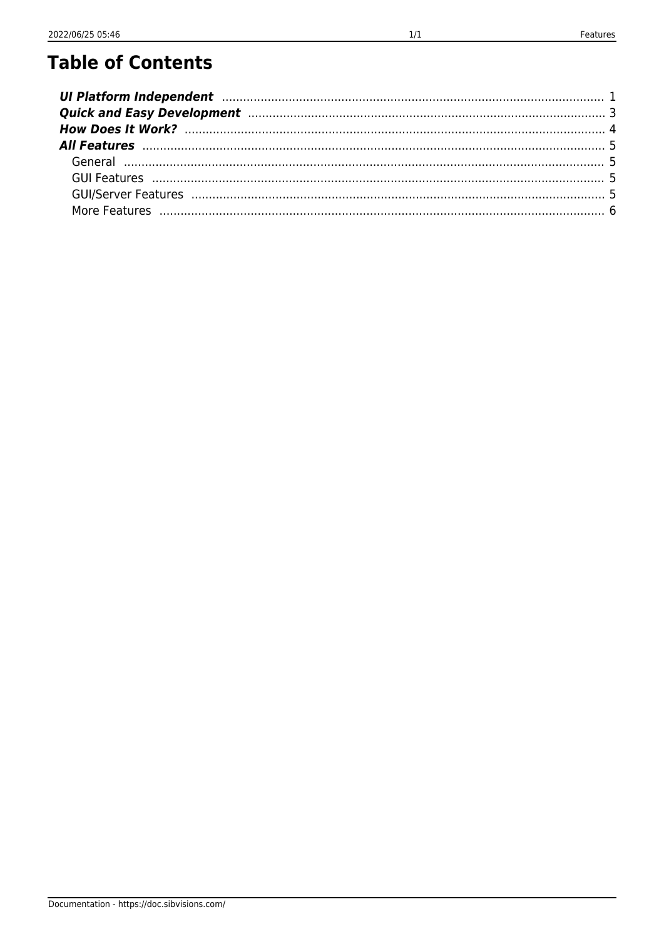# **Table of Contents**

| UI Platform Independent manufacture and the control of the control of the control of the control of the control of the control of the control of the control of the control of the control of the control of the control of th |  |
|--------------------------------------------------------------------------------------------------------------------------------------------------------------------------------------------------------------------------------|--|
|                                                                                                                                                                                                                                |  |
|                                                                                                                                                                                                                                |  |
|                                                                                                                                                                                                                                |  |
|                                                                                                                                                                                                                                |  |
|                                                                                                                                                                                                                                |  |
|                                                                                                                                                                                                                                |  |
|                                                                                                                                                                                                                                |  |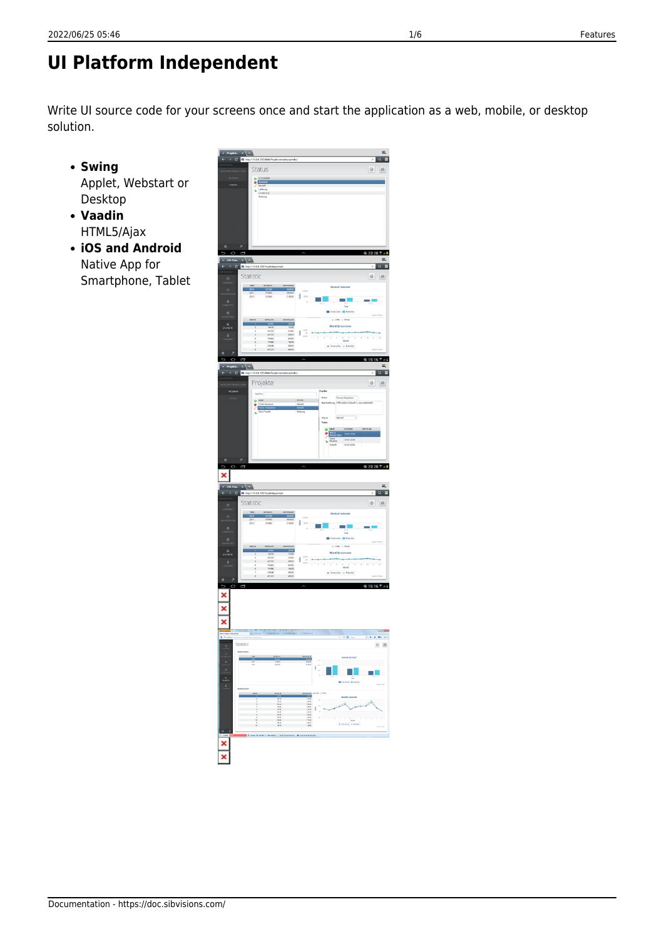# <span id="page-1-0"></span>**UI Platform Independent**

Write UI source code for your screens once and start the application as a web, mobile, or desktop solution.

- **Swing** Applet, Webstart or Desktop
- **Vaadin** HTML5/Ajax
- **iOS and Android** Native App for Smartphone, Tablet

|                        | $\rightarrow$ C $\overline{c}$ http://10.0.0.135.8080/Projekt-envaloup/websi |                                                                                                                                                              |                                                                                  | $Q$ $R$<br>$\frac{1}{2C}$                                   |
|------------------------|------------------------------------------------------------------------------|--------------------------------------------------------------------------------------------------------------------------------------------------------------|----------------------------------------------------------------------------------|-------------------------------------------------------------|
|                        |                                                                              |                                                                                                                                                              |                                                                                  |                                                             |
|                        | Status                                                                       |                                                                                                                                                              |                                                                                  | $_{\odot}$<br>$\pi$                                         |
|                        | O Extension<br>Contact<br>Clearer<br>Grand Charles<br>Hartung<br>Hartung     |                                                                                                                                                              |                                                                                  |                                                             |
| <b>STATUS</b>          |                                                                              |                                                                                                                                                              |                                                                                  |                                                             |
|                        |                                                                              |                                                                                                                                                              |                                                                                  |                                                             |
|                        |                                                                              |                                                                                                                                                              |                                                                                  |                                                             |
|                        |                                                                              |                                                                                                                                                              |                                                                                  |                                                             |
|                        |                                                                              |                                                                                                                                                              |                                                                                  |                                                             |
|                        |                                                                              |                                                                                                                                                              |                                                                                  |                                                             |
|                        |                                                                              |                                                                                                                                                              |                                                                                  |                                                             |
|                        |                                                                              |                                                                                                                                                              |                                                                                  |                                                             |
|                        |                                                                              |                                                                                                                                                              |                                                                                  |                                                             |
|                        |                                                                              |                                                                                                                                                              |                                                                                  |                                                             |
|                        |                                                                              |                                                                                                                                                              |                                                                                  | @23:2031                                                    |
| <b>JVx Vaa</b>         | $x \rightarrow$<br><b>a</b> http://10.0.0.135/Vaadin/pps/web                 |                                                                                                                                                              |                                                                                  |                                                             |
| $\rightarrow$ c        |                                                                              |                                                                                                                                                              |                                                                                  | E                                                           |
|                        | Statistic                                                                    |                                                                                                                                                              |                                                                                  | $_{\tiny \odot}$<br>$\pi$                                   |
| $\odot$                |                                                                              |                                                                                                                                                              |                                                                                  |                                                             |
|                        | VEAR.<br>487200                                                              | 1,000                                                                                                                                                        | <b>Annual turnover</b>                                                           |                                                             |
|                        | 2011<br>2012<br>370800<br>252000                                             | ł<br>5008                                                                                                                                                    |                                                                                  |                                                             |
| a                      |                                                                              |                                                                                                                                                              | $\blacksquare$<br>and the                                                        | IJ,                                                         |
|                        |                                                                              |                                                                                                                                                              |                                                                                  |                                                             |
| ®                      |                                                                              |                                                                                                                                                              | <b>M</b> Netsales                                                                |                                                             |
|                        |                                                                              |                                                                                                                                                              | $\bullet$ Lives $\circ$ Areas                                                    |                                                             |
| ni<br>Statistic        | 14616<br>ï                                                                   | 12180                                                                                                                                                        | Monthly turnover                                                                 |                                                             |
|                        | 29232<br>48720<br>k.                                                         | 24350<br>$\begin{array}{l} \frac{1}{2} \begin{array}{c} m \ \\ n \end{array} \end{array} \begin{array}{c} \begin{array}{c} m \ \\ n \end{array} \end{array}$ | $\overline{\phantom{a}}_s$<br>$\mathbb{R}^+$<br>137<br>ï<br>ÿ<br>ï               | $\mathbf{r}_{\text{H}}$<br>$\overline{u}$<br>$\overline{1}$ |
|                        | 73083<br>19488<br>6                                                          | 16240                                                                                                                                                        |                                                                                  |                                                             |
|                        | 43848<br>48720<br>$\frac{7}{8}$                                              | 56540<br>40600                                                                                                                                               | $+$ Netsales                                                                     |                                                             |
|                        |                                                                              |                                                                                                                                                              |                                                                                  |                                                             |
| Ó                      |                                                                              |                                                                                                                                                              |                                                                                  | 0.15:16741                                                  |
| .<br>Projekty.         | $\sqrt{1}$                                                                   |                                                                                                                                                              |                                                                                  | $\equiv$                                                    |
| $\rightarrow$ c        | http://10.0.0.135.8000/Projektienwaltung/webui                               |                                                                                                                                                              |                                                                                  | $Q$ $R$<br>$\frac{1}{2}$                                    |
|                        | Projekte                                                                     |                                                                                                                                                              |                                                                                  | $_{\tiny \odot}$<br>$\vec{n}$                               |
| <b>R</b> VERNO         |                                                                              |                                                                                                                                                              |                                                                                  |                                                             |
| PRODUCTS               | Sichen $\lceil$                                                              |                                                                                                                                                              | olekte                                                                           |                                                             |
| STATUS                 | $\overline{\mathbf{Q}}$ and                                                  |                                                                                                                                                              | Name<br>Forms Integration<br>OW wind in Zaleumit in Jan<br>Besch                 |                                                             |
|                        | ECMS Formula<br>Economics (1999)<br>Carl Micro Projekt                       |                                                                                                                                                              |                                                                                  |                                                             |
|                        |                                                                              |                                                                                                                                                              |                                                                                  |                                                             |
|                        |                                                                              |                                                                                                                                                              | Status<br><b>Bestellt</b>                                                        |                                                             |
|                        |                                                                              |                                                                                                                                                              | $\overline{\phantom{a}}$                                                         |                                                             |
|                        |                                                                              |                                                                                                                                                              | Todos                                                                            |                                                             |
|                        |                                                                              |                                                                                                                                                              |                                                                                  |                                                             |
|                        |                                                                              |                                                                                                                                                              | BENNIN<br>15.07.2013<br><b>Community</b><br><b>Community</b><br><b>Community</b> |                                                             |
|                        |                                                                              |                                                                                                                                                              | Sales<br>Masken 12.07.2013<br>Kidoff 01.07.2013                                  |                                                             |
| Þ<br>r                 |                                                                              |                                                                                                                                                              |                                                                                  | $0.23:207 = 1$                                              |
|                        |                                                                              |                                                                                                                                                              |                                                                                  |                                                             |
|                        |                                                                              |                                                                                                                                                              |                                                                                  | Ξ,                                                          |
| $-$ Wx Vas.            | $x +$                                                                        |                                                                                                                                                              |                                                                                  | $\frac{1}{2}$                                               |
| $\rightarrow$ c        | http://10.0.0.135/VaadinApps/web                                             |                                                                                                                                                              |                                                                                  | $Q$ $R$                                                     |
|                        | Statistic                                                                    |                                                                                                                                                              |                                                                                  | $_{\odot}$<br>首                                             |
| $_{\odot}$             | VEAR.<br><b>MTIALES</b>                                                      |                                                                                                                                                              |                                                                                  |                                                             |
|                        | 370800                                                                       |                                                                                                                                                              | Annual turnover                                                                  |                                                             |
|                        | 2011<br>2012<br>252000                                                       | 훟<br>500k                                                                                                                                                    | ۱                                                                                |                                                             |
| h,                     |                                                                              |                                                                                                                                                              | <b>COL</b><br>m.                                                                 |                                                             |
|                        |                                                                              |                                                                                                                                                              | Grossales <b>III</b> Netsales                                                    |                                                             |
| $^{\circ}$             |                                                                              |                                                                                                                                                              |                                                                                  |                                                             |
|                        |                                                                              |                                                                                                                                                              | $\bullet$ Lives $\circ$ Areas                                                    |                                                             |
| <b>IN</b><br>STATISTIC |                                                                              |                                                                                                                                                              | Monthly turnover                                                                 |                                                             |
| ٠                      | 14616<br>20222<br>48720<br>$\frac{1}{4}$                                     | 12180<br>24360<br>40600<br>$\frac{1}{2}$ $\frac{m}{m}$ .<br>60900                                                                                            | $e^+e^+$<br>1979<br>$\overline{z}$                                               | $10^{-7}$ 11                                                |
|                        | 73080<br>19488<br>s.                                                         | 16240                                                                                                                                                        | $\frac{1}{2}$                                                                    |                                                             |
|                        | 43848<br>ù.                                                                  | 35540                                                                                                                                                        | $+86$                                                                            |                                                             |
| ×<br>♦                 |                                                                              |                                                                                                                                                              |                                                                                  |                                                             |
|                        |                                                                              |                                                                                                                                                              |                                                                                  | @15:16741                                                   |
|                        |                                                                              |                                                                                                                                                              |                                                                                  |                                                             |
|                        |                                                                              |                                                                                                                                                              |                                                                                  |                                                             |
|                        |                                                                              |                                                                                                                                                              |                                                                                  |                                                             |
|                        |                                                                              |                                                                                                                                                              |                                                                                  |                                                             |
|                        |                                                                              |                                                                                                                                                              |                                                                                  |                                                             |
|                        |                                                                              |                                                                                                                                                              |                                                                                  |                                                             |
| $\ddot{a}$             |                                                                              |                                                                                                                                                              | $\sigma$ <b>H</b>                                                                |                                                             |
|                        |                                                                              |                                                                                                                                                              |                                                                                  |                                                             |
| Statistic              |                                                                              |                                                                                                                                                              |                                                                                  | $\theta$ , and $\theta$<br>$\circ$ $\pi$                    |
| kend tru               |                                                                              |                                                                                                                                                              |                                                                                  |                                                             |
|                        |                                                                              |                                                                                                                                                              |                                                                                  |                                                             |
|                        |                                                                              |                                                                                                                                                              |                                                                                  |                                                             |
|                        |                                                                              |                                                                                                                                                              |                                                                                  |                                                             |
|                        |                                                                              |                                                                                                                                                              |                                                                                  |                                                             |
| ×<br>医鼻的 医骨骨           |                                                                              |                                                                                                                                                              |                                                                                  |                                                             |
|                        |                                                                              |                                                                                                                                                              |                                                                                  |                                                             |
|                        |                                                                              |                                                                                                                                                              |                                                                                  |                                                             |
|                        |                                                                              |                                                                                                                                                              | i                                                                                |                                                             |
|                        |                                                                              |                                                                                                                                                              |                                                                                  |                                                             |
|                        |                                                                              |                                                                                                                                                              |                                                                                  |                                                             |
|                        |                                                                              | 1250<br>1250<br>1350<br>1350<br>1350<br>1350<br>1350<br>1350                                                                                                 |                                                                                  |                                                             |
|                        |                                                                              |                                                                                                                                                              |                                                                                  |                                                             |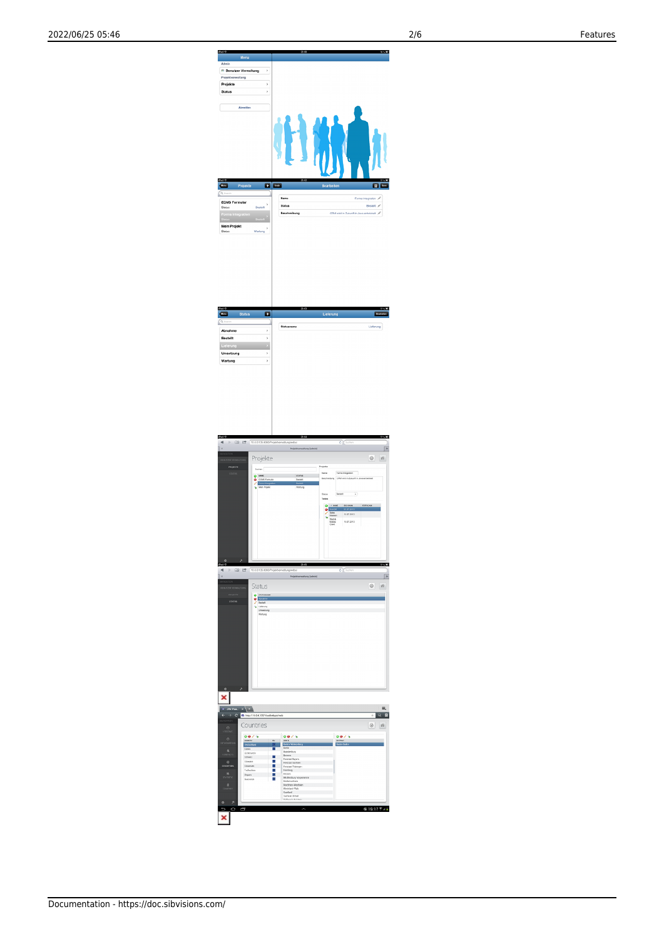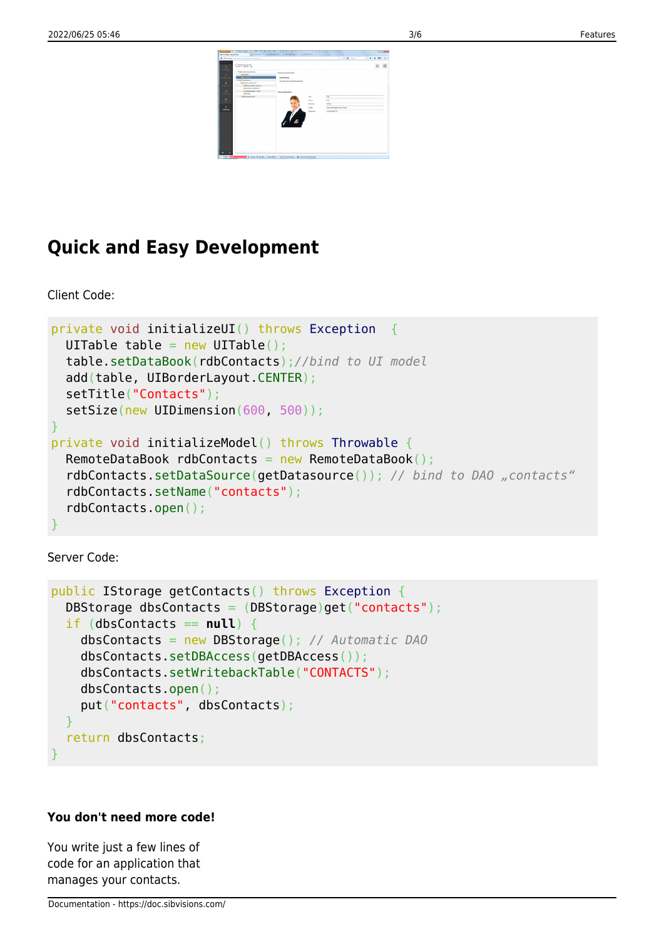

### <span id="page-3-0"></span>**Quick and Easy Development**

Client Code:

```
private void initializeUI() throws Exception {
 UITable table = new UITable();
  table.setDataBook(rdbContacts);//bind to UI model
   add(table, UIBorderLayout.CENTER);
   setTitle("Contacts");
  setSize(new UIDimension(600, 500));
}
private void initializeModel() throws Throwable {
 RemoteDataBook rdbContacts = new RemoteDataBook();
   rdbContacts.setDataSource(getDatasource()); // bind to DAO "contacts"
   rdbContacts.setName("contacts");
   rdbContacts.open();
}
```
Server Code:

```
public IStorage getContacts() throws Exception {
   DBStorage dbsContacts = (DBStorage)get("contacts");
   if (dbsContacts == null) {
     dbsContacts = new DBStorage(); // Automatic DAO
     dbsContacts.setDBAccess(getDBAccess());
     dbsContacts.setWritebackTable("CONTACTS");
     dbsContacts.open();
     put("contacts", dbsContacts);
   }
   return dbsContacts;
}
```
#### **You don't need more code!**

You write just a few lines of code for an application that manages your contacts.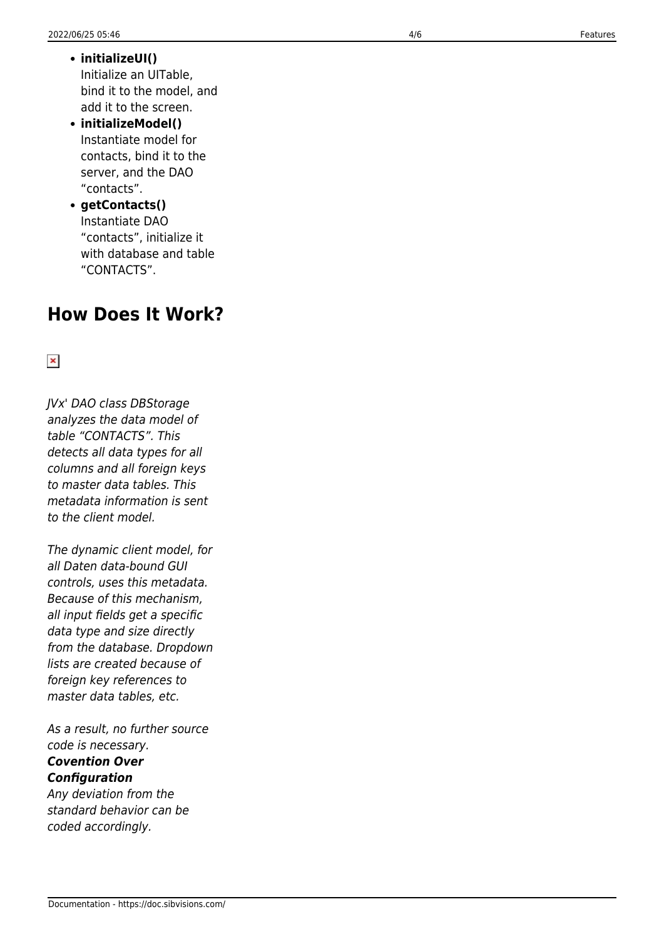- **initializeUI()** Initialize an UITable, bind it to the model, and add it to the screen.
- **initializeModel()** Instantiate model for contacts, bind it to the server, and the DAO "contacts".
- **getContacts()** Instantiate DAO "contacts", initialize it with database and table "CONTACTS".

### <span id="page-4-0"></span>**How Does It Work?**

#### $\pmb{\times}$

JVx' DAO class DBStorage analyzes the data model of table "CONTACTS". This detects all data types for all columns and all foreign keys to master data tables. This metadata information is sent to the client model.

The dynamic client model, for all Daten data-bound GUI controls, uses this metadata. Because of this mechanism, all input fields get a specific data type and size directly from the database. Dropdown lists are created because of foreign key references to master data tables, etc.

As a result, no further source code is necessary. *Covention Over Configuration* Any deviation from the standard behavior can be coded accordingly.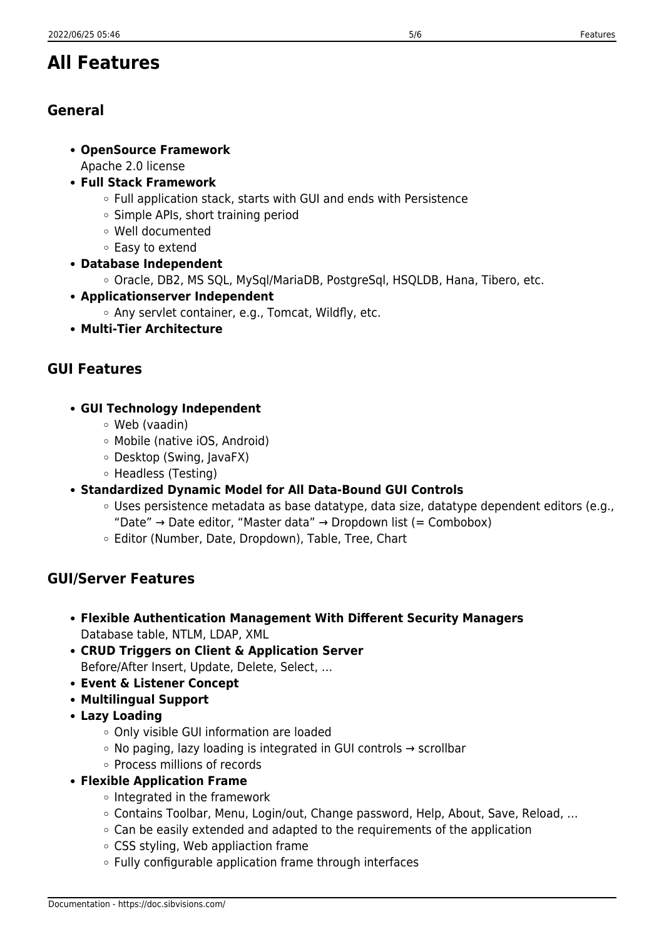## <span id="page-5-0"></span>**All Features**

### <span id="page-5-1"></span>**General**

**OpenSource Framework**

Apache 2.0 license

- **Full Stack Framework**
	- Full application stack, starts with GUI and ends with Persistence
	- Simple APIs, short training period
	- Well documented
	- Easy to extend
- **Database Independent**
	- Oracle, DB2, MS SQL, MySql/MariaDB, PostgreSql, HSQLDB, Hana, Tibero, etc.
- **Applicationserver Independent**
	- Any servlet container, e.g., Tomcat, Wildfly, etc.
- **Multi-Tier Architecture**

### <span id="page-5-2"></span>**GUI Features**

### **GUI Technology Independent**

- Web (vaadin)
- Mobile (native iOS, Android)
- Desktop (Swing, JavaFX)
- Headless (Testing)
- **Standardized Dynamic Model for All Data-Bound GUI Controls**
	- Uses persistence metadata as base datatype, data size, datatype dependent editors (e.g., "Date"  $\rightarrow$  Date editor, "Master data"  $\rightarrow$  Dropdown list (= Combobox)
	- Editor (Number, Date, Dropdown), Table, Tree, Chart

### <span id="page-5-3"></span>**GUI/Server Features**

- **Flexible Authentication Management With Different Security Managers** Database table, NTLM, LDAP, XML
- **CRUD Triggers on Client & Application Server** Before/After Insert, Update, Delete, Select, …
- **Event & Listener Concept**
- **Multilingual Support**
- **Lazy Loading**
	- Only visible GUI information are loaded
	- No paging, lazy loading is integrated in GUI controls → scrollbar
	- Process millions of records
- **Flexible Application Frame**
	- $\circ$  Integrated in the framework
	- Contains Toolbar, Menu, Login/out, Change password, Help, About, Save, Reload, …
	- $\circ$  Can be easily extended and adapted to the requirements of the application
	- $\circ$  CSS styling, Web appliaction frame
	- Fully configurable application frame through interfaces